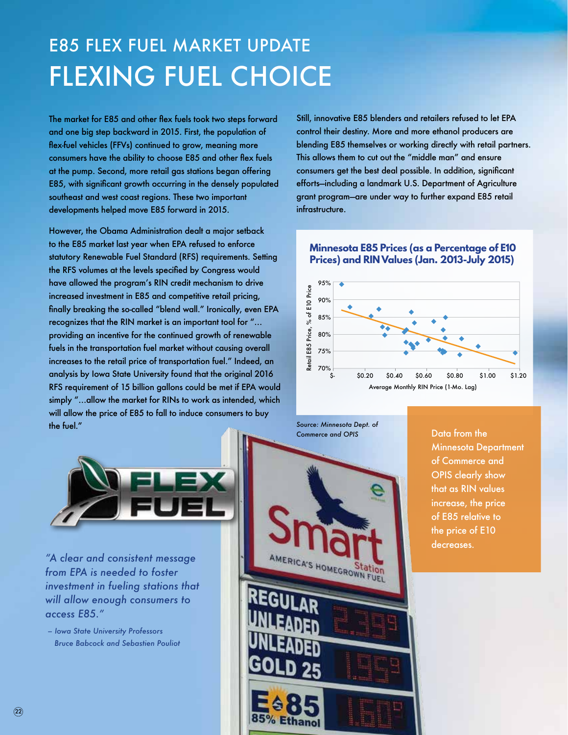## E85 FLEX FUEL MARKET UPDATE FLEXING FUEL CHOICE

The market for E85 and other flex fuels took two steps forward and one big step backward in 2015. First, the population of flex-fuel vehicles (FFVs) continued to grow, meaning more consumers have the ability to choose E85 and other flex fuels at the pump. Second, more retail gas stations began offering E85, with significant growth occurring in the densely populated southeast and west coast regions. These two important developments helped move E85 forward in 2015.

However, the Obama Administration dealt a major setback to the E85 market last year when EPA refused to enforce statutory Renewable Fuel Standard (RFS) requirements. Setting the RFS volumes at the levels specified by Congress would have allowed the program's RIN credit mechanism to drive increased investment in E85 and competitive retail pricing, finally breaking the so-called "blend wall." Ironically, even EPA recognizes that the RIN market is an important tool for "… providing an incentive for the continued growth of renewable fuels in the transportation fuel market without causing overall increases to the retail price of transportation fuel." Indeed, an analysis by Iowa State University found that the original 2016 RFS requirement of 15 billion gallons could be met if EPA would simply "…allow the market for RINs to work as intended, which will allow the price of E85 to fall to induce consumers to buy the fuel."



*"A clear and consistent message from EPA is needed to foster investment in fueling stations that will allow enough consumers to access E85."* 

 *– Iowa State University Professors Bruce Babcock and Sebastien Pouliot*

Still, innovative E85 blenders and retailers refused to let EPA control their destiny. More and more ethanol producers are blending E85 themselves or working directly with retail partners. This allows them to cut out the "middle man" and ensure consumers get the best deal possible. In addition, significant efforts—including a landmark U.S. Department of Agriculture grant program—are under way to further expand E85 retail infrastructure.

## **Minnesota E85 Prices (as a Percentage of E10 Prices) and RIN Values (Jan. 2013-July 2015)**



*Source: Minnesota Dept. of Commerce and OPIS*

Data from the Minnesota Department of Commerce and OPIS clearly show that as RIN values increase, the price of E85 relative to the price of E10 decreases.